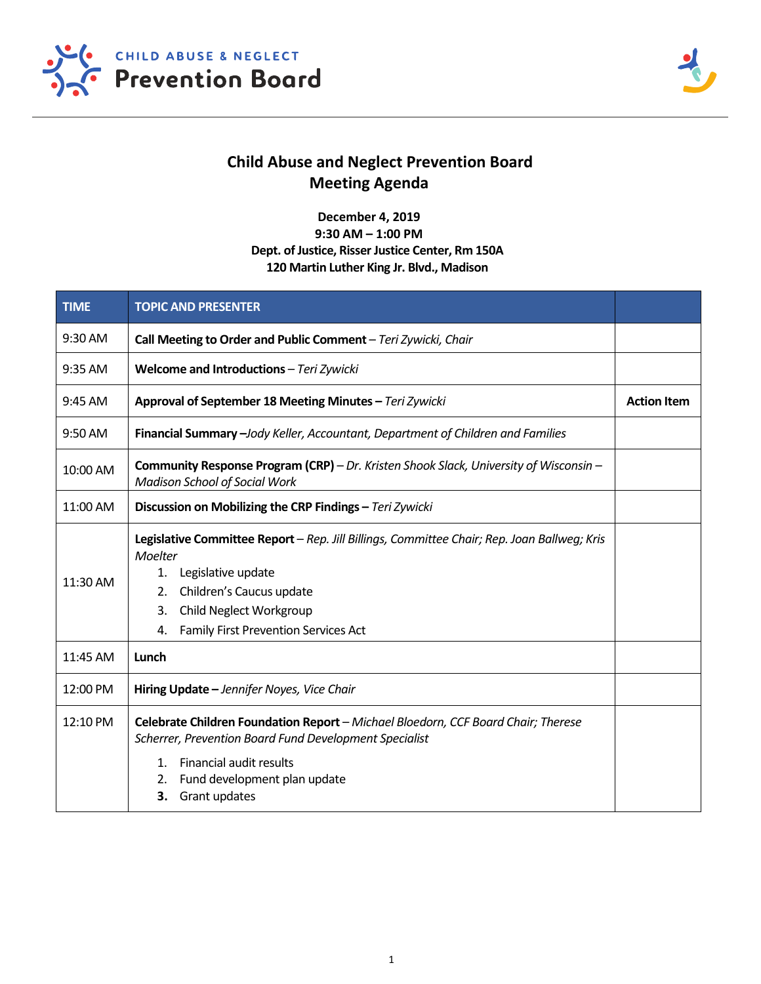



## **Child Abuse and Neglect Prevention Board Meeting Agenda**

**December 4, 2019 9:30 AM – 1:00 PM Dept. of Justice, Risser Justice Center, Rm 150A 120 Martin Luther King Jr. Blvd., Madison**

| <b>TIME</b> | <b>TOPIC AND PRESENTER</b>                                                                                                                                                                                                                                        |  |  |
|-------------|-------------------------------------------------------------------------------------------------------------------------------------------------------------------------------------------------------------------------------------------------------------------|--|--|
| 9:30 AM     | Call Meeting to Order and Public Comment - Teri Zywicki, Chair                                                                                                                                                                                                    |  |  |
| $9:35$ AM   | Welcome and Introductions - Teri Zywicki                                                                                                                                                                                                                          |  |  |
| 9:45 AM     | Approval of September 18 Meeting Minutes - Teri Zywicki                                                                                                                                                                                                           |  |  |
| 9:50 AM     | Financial Summary - Jody Keller, Accountant, Department of Children and Families                                                                                                                                                                                  |  |  |
| 10:00 AM    | <b>Community Response Program (CRP)</b> – Dr. Kristen Shook Slack, University of Wisconsin –<br><b>Madison School of Social Work</b>                                                                                                                              |  |  |
| 11:00 AM    | Discussion on Mobilizing the CRP Findings - Teri Zywicki                                                                                                                                                                                                          |  |  |
| 11:30 AM    | Legislative Committee Report - Rep. Jill Billings, Committee Chair; Rep. Joan Ballweg; Kris<br>Moelter<br>Legislative update<br>1.<br>Children's Caucus update<br>2.<br><b>Child Neglect Workgroup</b><br>3.<br><b>Family First Prevention Services Act</b><br>4. |  |  |
| 11:45 AM    | Lunch                                                                                                                                                                                                                                                             |  |  |
| 12:00 PM    | Hiring Update - Jennifer Noyes, Vice Chair                                                                                                                                                                                                                        |  |  |
| 12:10 PM    | Celebrate Children Foundation Report - Michael Bloedorn, CCF Board Chair; Therese<br>Scherrer, Prevention Board Fund Development Specialist<br>Financial audit results<br>1.<br>Fund development plan update<br>2.<br>Grant updates<br>3.                         |  |  |